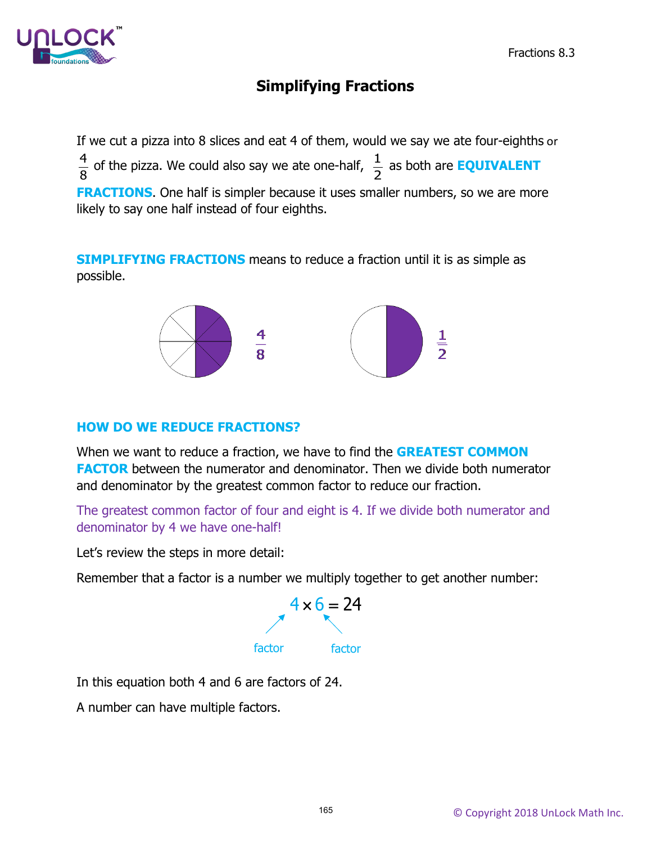

# **Simplifying Fractions**

If we cut a pizza into 8 slices and eat 4 of them, would we say we ate four-eighths or  $\frac{4}{8}$  of the pizza. We could also say we ate one-half,  $\frac{1}{2}$ as both are **EQUIVALENT FRACTIONS**. One half is simpler because it uses smaller numbers, so we are more likely to say one half instead of four eighths.

**SIMPLIFYING FRACTIONS** means to reduce a fraction until it is as simple as possible.



#### **HOW DO WE REDUCE FRACTIONS?**

When we want to reduce a fraction, we have to find the **GREATEST COMMON FACTOR** between the numerator and denominator. Then we divide both numerator and denominator by the greatest common factor to reduce our fraction.

The greatest common factor of four and eight is 4. If we divide both numerator and denominator by 4 we have one-half!

Let's review the steps in more detail:

Remember that a factor is a number we multiply together to get another number:



In this equation both 4 and 6 are factors of 24.

A number can have multiple factors.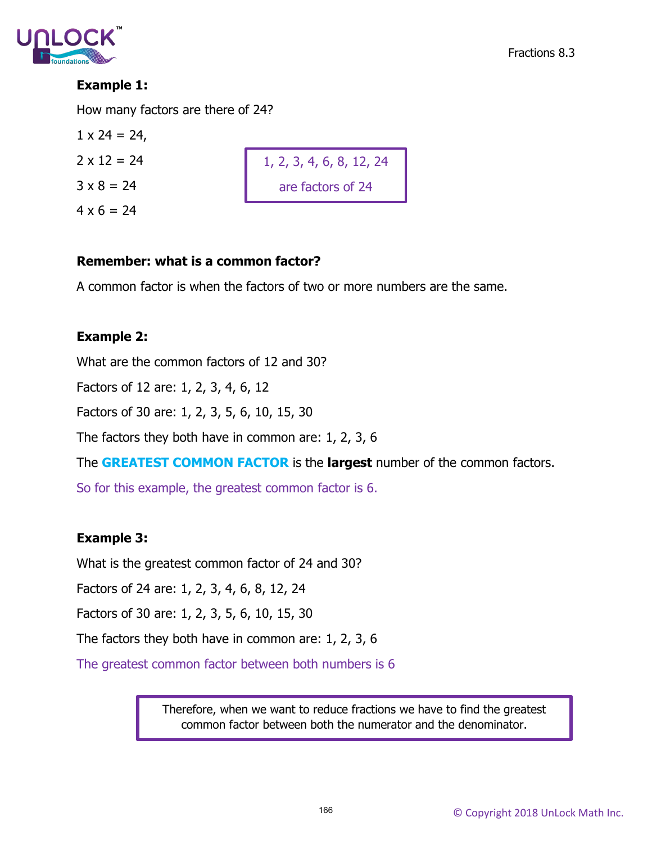

## **Example 1:**

How many factors are there of 24?

$$
1 \times 24 = 24
$$
,  
 $2 \times 12 = 24$ 

 $3 \times 8 = 24$ 

 $4 \times 6 = 24$ 

# 1, 2, 3, 4, 6, 8, 12, 24 are factors of 24

#### **Remember: what is a common factor?**

A common factor is when the factors of two or more numbers are the same.

#### **Example 2:**

What are the common factors of 12 and 30?

Factors of 12 are: 1, 2, 3, 4, 6, 12

Factors of 30 are: 1, 2, 3, 5, 6, 10, 15, 30

The factors they both have in common are: 1, 2, 3, 6

The **GREATEST COMMON FACTOR** is the **largest** number of the common factors.

So for this example, the greatest common factor is 6.

#### **Example 3:**

What is the greatest common factor of 24 and 30?

Factors of 24 are: 1, 2, 3, 4, 6, 8, 12, 24

Factors of 30 are: 1, 2, 3, 5, 6, 10, 15, 30

The factors they both have in common are: 1, 2, 3, 6

The greatest common factor between both numbers is 6

Therefore, when we want to reduce fractions we have to find the greatest common factor between both the numerator and the denominator.